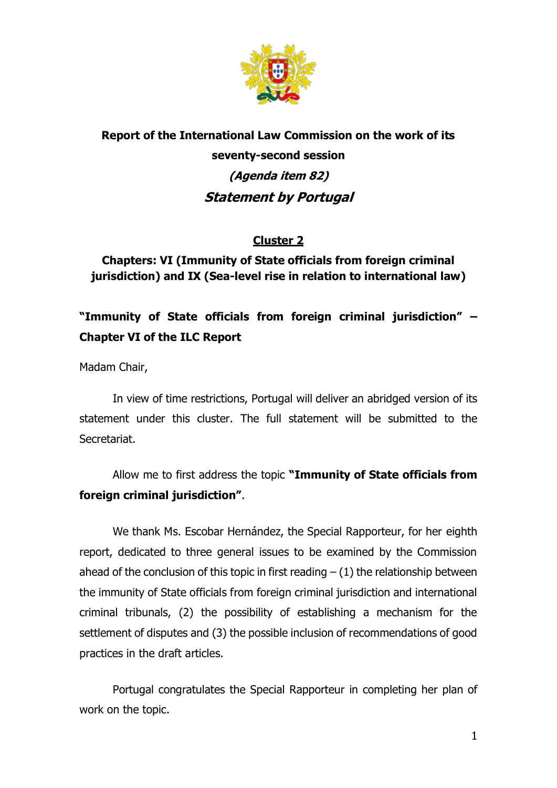

# **Report of the International Law Commission on the work of its seventy-second session (Agenda item 82) Statement by Portugal**

### **Cluster 2**

## **Chapters: VI (Immunity of State officials from foreign criminal jurisdiction) and IX (Sea-level rise in relation to international law)**

## **"Immunity of State officials from foreign criminal jurisdiction" – Chapter VI of the ILC Report**

Madam Chair,

In view of time restrictions, Portugal will deliver an abridged version of its statement under this cluster. The full statement will be submitted to the Secretariat.

Allow me to first address the topic **"Immunity of State officials from foreign criminal jurisdiction"**.

We thank Ms. Escobar Hernández, the Special Rapporteur, for her eighth report, dedicated to three general issues to be examined by the Commission ahead of the conclusion of this topic in first reading  $- (1)$  the relationship between the immunity of State officials from foreign criminal jurisdiction and international criminal tribunals, (2) the possibility of establishing a mechanism for the settlement of disputes and (3) the possible inclusion of recommendations of good practices in the draft articles.

Portugal congratulates the Special Rapporteur in completing her plan of work on the topic.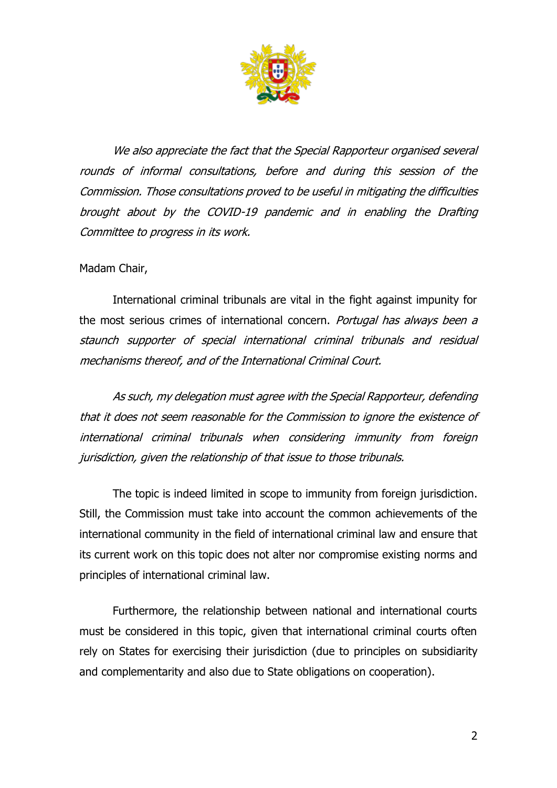

We also appreciate the fact that the Special Rapporteur organised several rounds of informal consultations, before and during this session of the Commission. Those consultations proved to be useful in mitigating the difficulties brought about by the COVID-19 pandemic and in enabling the Drafting Committee to progress in its work.

### Madam Chair,

International criminal tribunals are vital in the fight against impunity for the most serious crimes of international concern. Portugal has always been a staunch supporter of special international criminal tribunals and residual mechanisms thereof, and of the International Criminal Court.

As such, my delegation must agree with the Special Rapporteur, defending that it does not seem reasonable for the Commission to ignore the existence of international criminal tribunals when considering immunity from foreign jurisdiction, given the relationship of that issue to those tribunals.

The topic is indeed limited in scope to immunity from foreign jurisdiction. Still, the Commission must take into account the common achievements of the international community in the field of international criminal law and ensure that its current work on this topic does not alter nor compromise existing norms and principles of international criminal law.

Furthermore, the relationship between national and international courts must be considered in this topic, given that international criminal courts often rely on States for exercising their jurisdiction (due to principles on subsidiarity and complementarity and also due to State obligations on cooperation).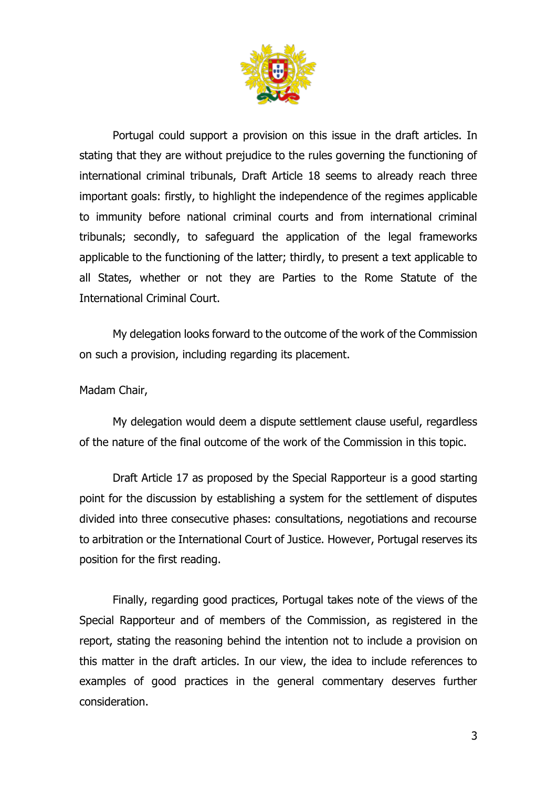

Portugal could support a provision on this issue in the draft articles. In stating that they are without prejudice to the rules governing the functioning of international criminal tribunals, Draft Article 18 seems to already reach three important goals: firstly, to highlight the independence of the regimes applicable to immunity before national criminal courts and from international criminal tribunals; secondly, to safeguard the application of the legal frameworks applicable to the functioning of the latter; thirdly, to present a text applicable to all States, whether or not they are Parties to the Rome Statute of the International Criminal Court.

My delegation looks forward to the outcome of the work of the Commission on such a provision, including regarding its placement.

Madam Chair,

My delegation would deem a dispute settlement clause useful, regardless of the nature of the final outcome of the work of the Commission in this topic.

Draft Article 17 as proposed by the Special Rapporteur is a good starting point for the discussion by establishing a system for the settlement of disputes divided into three consecutive phases: consultations, negotiations and recourse to arbitration or the International Court of Justice. However, Portugal reserves its position for the first reading.

Finally, regarding good practices, Portugal takes note of the views of the Special Rapporteur and of members of the Commission, as registered in the report, stating the reasoning behind the intention not to include a provision on this matter in the draft articles. In our view, the idea to include references to examples of good practices in the general commentary deserves further consideration.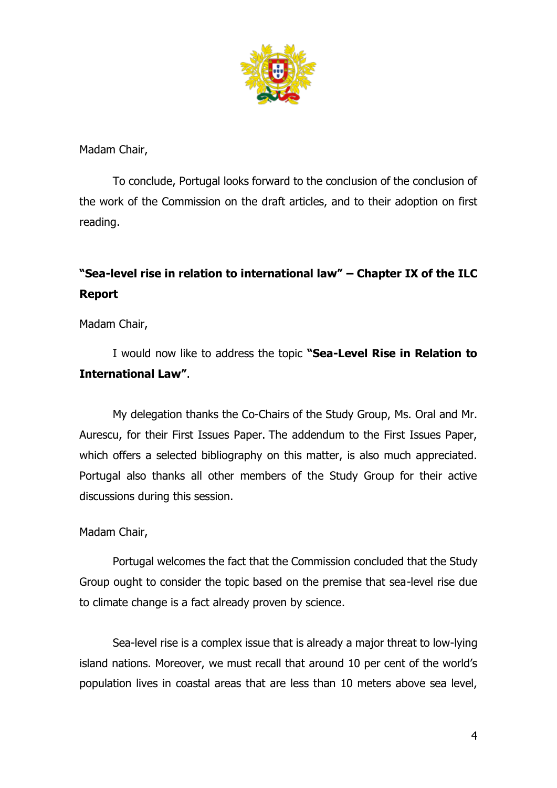

Madam Chair,

To conclude, Portugal looks forward to the conclusion of the conclusion of the work of the Commission on the draft articles, and to their adoption on first reading.

## **"Sea-level rise in relation to international law" – Chapter IX of the ILC Report**

Madam Chair,

I would now like to address the topic **"Sea-Level Rise in Relation to International Law"**.

My delegation thanks the Co-Chairs of the Study Group, Ms. Oral and Mr. Aurescu, for their First Issues Paper. The addendum to the First Issues Paper, which offers a selected bibliography on this matter, is also much appreciated. Portugal also thanks all other members of the Study Group for their active discussions during this session.

### Madam Chair,

Portugal welcomes the fact that the Commission concluded that the Study Group ought to consider the topic based on the premise that sea-level rise due to climate change is a fact already proven by science.

Sea-level rise is a complex issue that is already a major threat to low-lying island nations. Moreover, we must recall that around 10 per cent of the world's population lives in coastal areas that are less than 10 meters above sea level,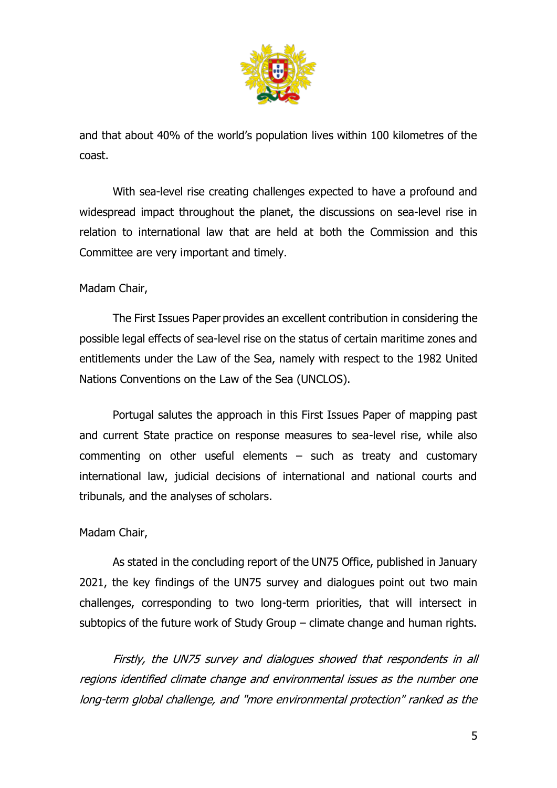

and that about 40% of the world's population lives within 100 kilometres of the coast.

With sea-level rise creating challenges expected to have a profound and widespread impact throughout the planet, the discussions on sea-level rise in relation to international law that are held at both the Commission and this Committee are very important and timely.

### Madam Chair,

The First Issues Paper provides an excellent contribution in considering the possible legal effects of sea-level rise on the status of certain maritime zones and entitlements under the Law of the Sea, namely with respect to the 1982 United Nations Conventions on the Law of the Sea (UNCLOS).

Portugal salutes the approach in this First Issues Paper of mapping past and current State practice on response measures to sea-level rise, while also commenting on other useful elements – such as treaty and customary international law, judicial decisions of international and national courts and tribunals, and the analyses of scholars.

### Madam Chair,

As stated in the concluding report of the UN75 Office, published in January 2021, the key findings of the UN75 survey and dialogues point out two main challenges, corresponding to two long-term priorities, that will intersect in subtopics of the future work of Study Group – climate change and human rights.

Firstly, the UN75 survey and dialogues showed that respondents in all regions identified climate change and environmental issues as the number one long-term global challenge, and "more environmental protection" ranked as the